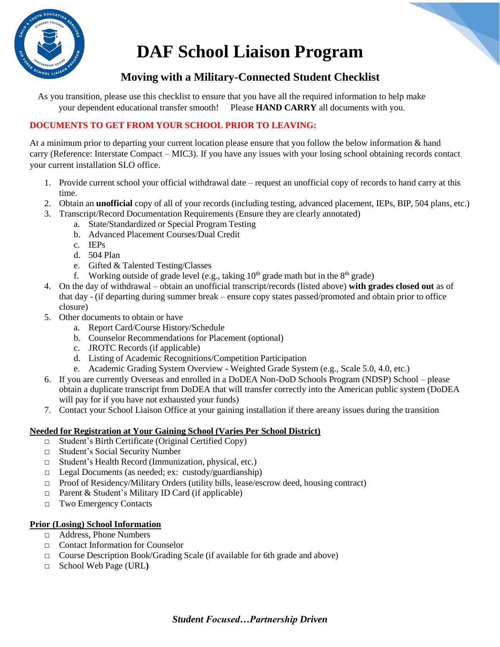

# **DAF School Liaison Program**

# **Moving with a Military-Connected Student Checklist**

As you transition, please use this checklist to ensure that you have all the required information to help make your dependent educational transfer smooth! Please **HAND CARRY** all documents with you.

# **DOCUMENTS TO GET FROM YOUR SCHOOL PRIOR TO LEAVING:**

At a minimum prior to departing your current location please ensure that you follow the below information & hand carry (Reference: Interstate Compact – MIC3). If you have any issues with your losing school obtaining records contact your current installation SLO office.

- 1. Provide current school your official withdrawal date request an unofficial copy of records to hand carry at this time.
- 2. Obtain an **unofficial** copy of all of your records (including testing, advanced placement, IEPs, BIP, 504 plans, etc.)
- 3. Transcript/Record Documentation Requirements (Ensure they are clearly annotated)
	- a. State/Standardized or Special Program Testing
	- b. Advanced Placement Courses/Dual Credit
	- c. IEPs
	- d. 504 Plan
	- e. Gifted & Talented Testing/Classes
	- f. Working outside of grade level (e.g., taking  $10<sup>th</sup>$  grade math but in the  $8<sup>th</sup>$  grade)
- 4. On the day of withdrawal obtain an unofficial transcript/records (listed above) **with grades closed out** as of that day - (if departing during summer break – ensure copy states passed/promoted and obtain prior to office closure)
- 5. Other documents to obtain or have
	- a. Report Card/Course History/Schedule
	- b. Counselor Recommendations for Placement (optional)
	- c. JROTC Records (if applicable)
	- d. Listing of Academic Recognitions/Competition Participation
	- e. Academic Grading System Overview Weighted Grade System (e.g., Scale 5.0, 4.0, etc.)
- 6. If you are currently Overseas and enrolled in a DoDEA Non-DoD Schools Program (NDSP) School please obtain a duplicate transcript from DoDEA that will transfer correctly into the American public system (DoDEA will pay for if you have not exhausted your funds)
- 7. Contact your School Liaison Office at your gaining installation if there areany issues during the transition

# **Needed for Registration at Your Gaining School (Varies Per School District)**

- □ Student's Birth Certificate (Original Certified Copy)
- □ Student's Social Security Number
- □ Student's Health Record (Immunization, physical, etc.)
- $\Box$  Legal Documents (as needed; ex: custody/guardianship)
- □ Proof of Residency/Military Orders (utility bills, lease/escrow deed, housing contract)
- $\Box$  Parent & Student's Military ID Card (if applicable)
- □ Two Emergency Contacts

#### **Prior (Losing) School Information**

- □ Address, Phone Numbers
- □ Contact Information for Counselor
- □ Course Description Book/Grading Scale (if available for 6th grade and above)
- □ School Web Page (URL**)**